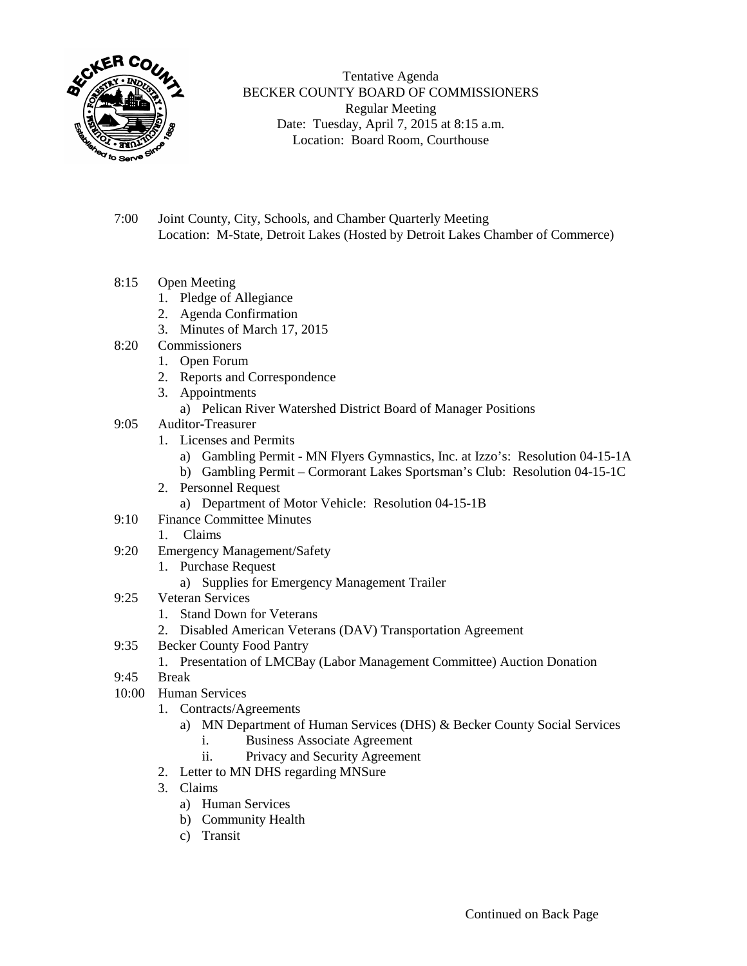

Tentative Agenda BECKER COUNTY BOARD OF COMMISSIONERS Regular Meeting Date: Tuesday, April 7, 2015 at 8:15 a.m. Location: Board Room, Courthouse

- 7:00 Joint County, City, Schools, and Chamber Quarterly Meeting Location: M-State, Detroit Lakes (Hosted by Detroit Lakes Chamber of Commerce)
- 8:15 Open Meeting
	- 1. Pledge of Allegiance
	- 2. Agenda Confirmation
	- 3. Minutes of March 17, 2015
- 8:20 Commissioners
	- 1. Open Forum
	- 2. Reports and Correspondence
	- 3. Appointments
		- a) Pelican River Watershed District Board of Manager Positions
- 9:05 Auditor-Treasurer
	- 1. Licenses and Permits
		- a) Gambling Permit MN Flyers Gymnastics, Inc. at Izzo's: Resolution 04-15-1A
		- b) Gambling Permit Cormorant Lakes Sportsman's Club: Resolution 04-15-1C
	- 2. Personnel Request
		- a) Department of Motor Vehicle: Resolution 04-15-1B
- 9:10 Finance Committee Minutes
	- 1. Claims
- 9:20 Emergency Management/Safety
	- 1. Purchase Request
		- a) Supplies for Emergency Management Trailer
- 9:25 Veteran Services
	- 1. Stand Down for Veterans
	- 2. Disabled American Veterans (DAV) Transportation Agreement
- 9:35 Becker County Food Pantry
	- 1. Presentation of LMCBay (Labor Management Committee) Auction Donation
- 9:45 Break
- 10:00 Human Services
	- 1. Contracts/Agreements
		- a) MN Department of Human Services (DHS) & Becker County Social Services i. Business Associate Agreement
			- ii. Privacy and Security Agreement
	- 2. Letter to MN DHS regarding MNSure
	- 3. Claims
		- a) Human Services
		- b) Community Health
		- c) Transit